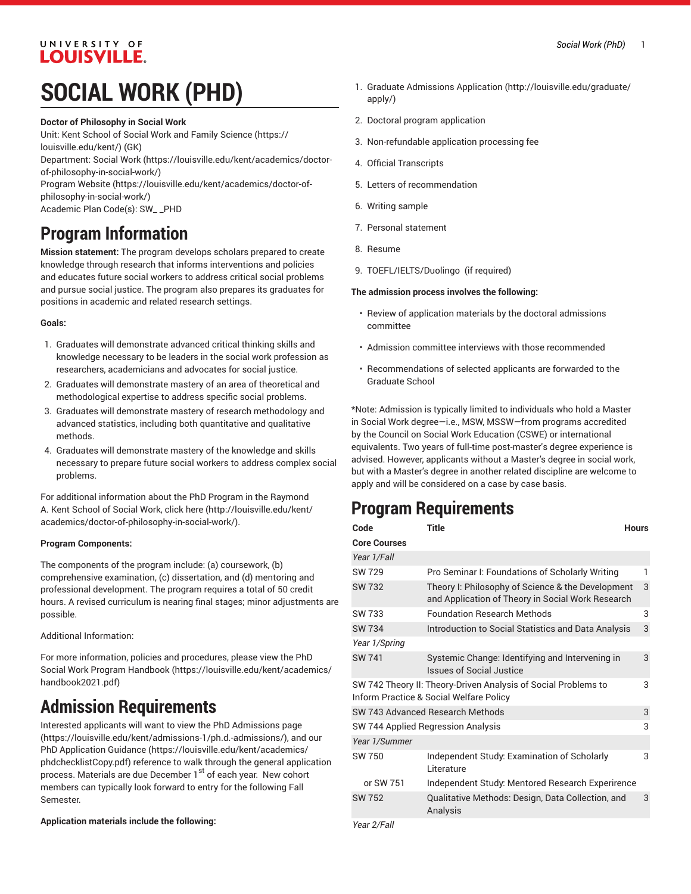## UNIVERSITY OF **LOUISVILLE.**

# **SOCIAL WORK (PHD)**

#### **Doctor of Philosophy in Social Work**

Unit: Kent School of Social Work and Family [Science \(https://](https://louisville.edu/kent/) [louisville.edu/kent/](https://louisville.edu/kent/)) (GK)

Department: [Social](https://louisville.edu/kent/academics/doctor-of-philosophy-in-social-work/) Work ([https://louisville.edu/kent/academics/doctor](https://louisville.edu/kent/academics/doctor-of-philosophy-in-social-work/)[of-philosophy-in-social-work/](https://louisville.edu/kent/academics/doctor-of-philosophy-in-social-work/))

[Program](https://louisville.edu/kent/academics/doctor-of-philosophy-in-social-work/) Website [\(https://louisville.edu/kent/academics/doctor-of](https://louisville.edu/kent/academics/doctor-of-philosophy-in-social-work/)[philosophy-in-social-work/\)](https://louisville.edu/kent/academics/doctor-of-philosophy-in-social-work/)

Academic Plan Code(s): SW\_ \_PHD

# **Program Information**

**Mission statement:** The program develops scholars prepared to create knowledge through research that informs interventions and policies and educates future social workers to address critical social problems and pursue social justice. The program also prepares its graduates for positions in academic and related research settings.

### **Goals:**

- 1. Graduates will demonstrate advanced critical thinking skills and knowledge necessary to be leaders in the social work profession as researchers, academicians and advocates for social justice.
- 2. Graduates will demonstrate mastery of an area of theoretical and methodological expertise to address specific social problems.
- 3. Graduates will demonstrate mastery of research methodology and advanced statistics, including both quantitative and qualitative methods.
- 4. Graduates will demonstrate mastery of the knowledge and skills necessary to prepare future social workers to address complex social problems.

For additional information about the PhD Program in the Raymond A. Kent School of Social Work, click [here](http://louisville.edu/kent/academics/doctor-of-philosophy-in-social-work/) ([http://louisville.edu/kent/](http://louisville.edu/kent/academics/doctor-of-philosophy-in-social-work/) [academics/doctor-of-philosophy-in-social-work/](http://louisville.edu/kent/academics/doctor-of-philosophy-in-social-work/)).

### **Program Components:**

The components of the program include: (a) coursework, (b) comprehensive examination, (c) dissertation, and (d) mentoring and professional development. The program requires a total of 50 credit hours. A revised curriculum is nearing final stages; minor adjustments are possible.

Additional Information:

For more information, policies and procedures, please view the [PhD](https://louisville.edu/kent/academics/handbook2021.pdf) Social Work Program [Handbook](https://louisville.edu/kent/academics/handbook2021.pdf) ([https://louisville.edu/kent/academics/](https://louisville.edu/kent/academics/handbook2021.pdf) [handbook2021.pdf\)](https://louisville.edu/kent/academics/handbook2021.pdf)

# **Admission Requirements**

Interested applicants will want to view the [PhD Admissions page](https://louisville.edu/kent/admissions-1/ph.d.-admissions/) ([https://louisville.edu/kent/admissions-1/ph.d.-admissions/\)](https://louisville.edu/kent/admissions-1/ph.d.-admissions/), and our [PhD Application Guidance \(https://louisville.edu/kent/academics/](https://louisville.edu/kent/academics/phdchecklistCopy.pdf) [phdchecklistCopy.pdf](https://louisville.edu/kent/academics/phdchecklistCopy.pdf)) reference to walk through the general application process. Materials are due December 1<sup>st</sup> of each year. New cohort members can typically look forward to entry for the following Fall Semester.

### **Application materials include the following:**

- 1. [Graduate Admissions Application \(http://louisville.edu/graduate/](http://louisville.edu/graduate/apply/) [apply/](http://louisville.edu/graduate/apply/))
- 2. Doctoral program application
- 3. Non-refundable application processing fee
- 4. Official Transcripts
- 5. Letters of recommendation
- 6. Writing sample
- 7. Personal statement
- 8. Resume
- 9. TOEFL/IELTS/Duolingo (if required)

#### **The admission process involves the following:**

- Review of application materials by the doctoral admissions committee
- Admission committee interviews with those recommended
- Recommendations of selected applicants are forwarded to the Graduate School

\*Note: Admission is typically limited to individuals who hold a Master in Social Work degree—i.e., MSW, MSSW—from programs accredited by the Council on Social Work Education (CSWE) or international equivalents. Two years of full-time post-master's degree experience is advised. However, applicants without a Master's degree in social work, but with a Master's degree in another related discipline are welcome to apply and will be considered on a case by case basis.

# **Program Requirements**

| <b>Core Courses</b>                                                                                                     |   |  |
|-------------------------------------------------------------------------------------------------------------------------|---|--|
|                                                                                                                         |   |  |
| Year 1/Fall                                                                                                             |   |  |
| <b>SW 729</b><br>Pro Seminar I: Foundations of Scholarly Writing                                                        | 1 |  |
| <b>SW 732</b><br>Theory I: Philosophy of Science & the Development<br>and Application of Theory in Social Work Research | 3 |  |
| <b>Foundation Research Methods</b><br>SW 733                                                                            | 3 |  |
| SW 734<br>Introduction to Social Statistics and Data Analysis                                                           | 3 |  |
| Year 1/Spring                                                                                                           |   |  |
| Systemic Change: Identifying and Intervening in<br><b>SW 741</b><br><b>Issues of Social Justice</b>                     | 3 |  |
| SW 742 Theory II: Theory-Driven Analysis of Social Problems to<br>Inform Practice & Social Welfare Policy               | 3 |  |
| SW 743 Advanced Research Methods                                                                                        | 3 |  |
| 3<br>SW 744 Applied Regression Analysis                                                                                 |   |  |
| Year 1/Summer                                                                                                           |   |  |
| SW 750<br>Independent Study: Examination of Scholarly<br>Literature                                                     | 3 |  |
| or SW 751<br>Independent Study: Mentored Research Experirence                                                           |   |  |
| <b>SW 752</b><br>Qualitative Methods: Design, Data Collection, and<br>Analysis                                          | 3 |  |

*Year 2/Fall*